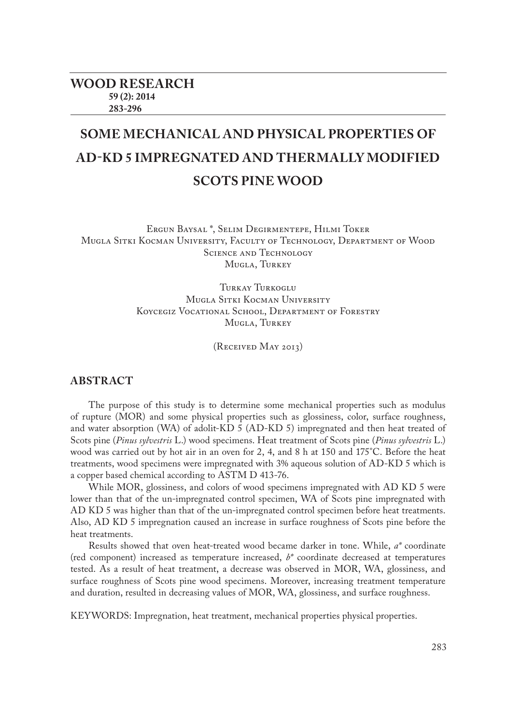# **SOME MECHANICAL AND PHYSICAL PROPERTIES OF AD-KD 5 IMPREGNATED AND THERMALLY MODIFIED SCOTS PINE WOOD**

Ergun Baysal \*, Selim Degirmentepe, Hilmi Toker Mugla Sitki Kocman University, Faculty of Technology, Department of Wood SCIENCE AND TECHNOLOGY MUGLA, TURKEY

> Turkay Turkoglu Mugla Sitki Kocman University Koycegiz Vocational School, Department of Forestry Mugla, Turkey

> > (Received May 2013)

# **ABSTRACT**

The purpose of this study is to determine some mechanical properties such as modulus of rupture (MOR) and some physical properties such as glossiness, color, surface roughness, and water absorption (WA) of adolit-KD 5 (AD-KD 5) impregnated and then heat treated of Scots pine (*Pinus sylvestris* L.) wood specimens. Heat treatment of Scots pine (*Pinus sylvestris* L.) wood was carried out by hot air in an oven for 2, 4, and 8 h at 150 and 175°C. Before the heat treatments, wood specimens were impregnated with 3% aqueous solution of AD-KD 5 which is a copper based chemical according to ASTM D 413-76.

While MOR, glossiness, and colors of wood specimens impregnated with AD KD 5 were lower than that of the un-impregnated control specimen, WA of Scots pine impregnated with AD KD 5 was higher than that of the un-impregnated control specimen before heat treatments. Also, AD KD 5 impregnation caused an increase in surface roughness of Scots pine before the heat treatments.

Results showed that oven heat-treated wood became darker in tone. While, *a\** coordinate (red component) increased as temperature increased, *b\** coordinate decreased at temperatures tested. As a result of heat treatment, a decrease was observed in MOR, WA, glossiness, and surface roughness of Scots pine wood specimens. Moreover, increasing treatment temperature and duration, resulted in decreasing values of MOR, WA, glossiness, and surface roughness.

KEYWORDS: Impregnation, heat treatment, mechanical properties physical properties.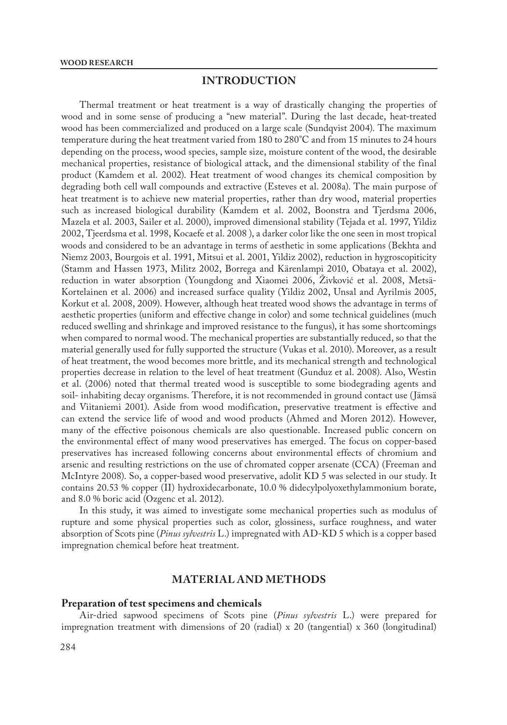## **INTRODUCTION**

Thermal treatment or heat treatment is a way of drastically changing the properties of wood and in some sense of producing a "new material". During the last decade, heat-treated wood has been commercialized and produced on a large scale (Sundqvist 2004). The maximum temperature during the heat treatment varied from 180 to 280°C and from 15 minutes to 24 hours depending on the process, wood species, sample size, moisture content of the wood, the desirable mechanical properties, resistance of biological attack, and the dimensional stability of the final product (Kamdem et al. 2002). Heat treatment of wood changes its chemical composition by degrading both cell wall compounds and extractive (Esteves et al. 2008a). The main purpose of heat treatment is to achieve new material properties, rather than dry wood, material properties such as increased biological durability (Kamdem et al. 2002, Boonstra and Tjerdsma 2006, Mazela et al. 2003, Sailer et al. 2000), improved dimensional stability (Tejada et al. 1997, Yildiz 2002, Tjeerdsma et al. 1998, Kocaefe et al. 2008 ), a darker color like the one seen in most tropical woods and considered to be an advantage in terms of aesthetic in some applications (Bekhta and Niemz 2003, Bourgois et al. 1991, Mitsui et al. 2001, Yildiz 2002), reduction in hygroscopiticity (Stamm and Hassen 1973, Militz 2002, Borrega and Kärenlampi 2010, Obataya et al. 2002), reduction in water absorption (Youngdong and Xiaomei 2006, Živković et al. 2008, Metsä-Kortelainen et al. 2006) and increased surface quality (Yildiz 2002, Unsal and Ayrilmis 2005, Korkut et al. 2008, 2009). However, although heat treated wood shows the advantage in terms of aesthetic properties (uniform and effective change in color) and some technical guidelines (much reduced swelling and shrinkage and improved resistance to the fungus), it has some shortcomings when compared to normal wood. The mechanical properties are substantially reduced, so that the material generally used for fully supported the structure (Vukas et al. 2010). Moreover, as a result of heat treatment, the wood becomes more brittle, and its mechanical strength and technological properties decrease in relation to the level of heat treatment (Gunduz et al. 2008). Also, Westin et al. (2006) noted that thermal treated wood is susceptible to some biodegrading agents and soil- inhabiting decay organisms. Therefore, it is not recommended in ground contact use (Jämsä and Viitaniemi 2001). Aside from wood modification, preservative treatment is effective and can extend the service life of wood and wood products (Ahmed and Moren 2012). However, many of the effective poisonous chemicals are also questionable. Increased public concern on the environmental effect of many wood preservatives has emerged. The focus on copper-based preservatives has increased following concerns about environmental effects of chromium and arsenic and resulting restrictions on the use of chromated copper arsenate (CCA) (Freeman and McIntyre 2008). So, a copper-based wood preservative, adolit KD 5 was selected in our study. It contains 20.53 % copper (II) hydroxidecarbonate, 10.0 % didecylpolyoxethylammonium borate, and 8.0 % boric acid (Ozgenc et al. 2012).

In this study, it was aimed to investigate some mechanical properties such as modulus of rupture and some physical properties such as color, glossiness, surface roughness, and water absorption of Scots pine (*Pinus sylvestris* L.) impregnated with AD-KD 5 which is a copper based impregnation chemical before heat treatment.

## **MATERIAL AND METHODS**

#### **Preparation of test specimens and chemicals**

Air-dried sapwood specimens of Scots pine (*Pinus sylvestris* L.) were prepared for impregnation treatment with dimensions of 20 (radial)  $x$  20 (tangential)  $x$  360 (longitudinal)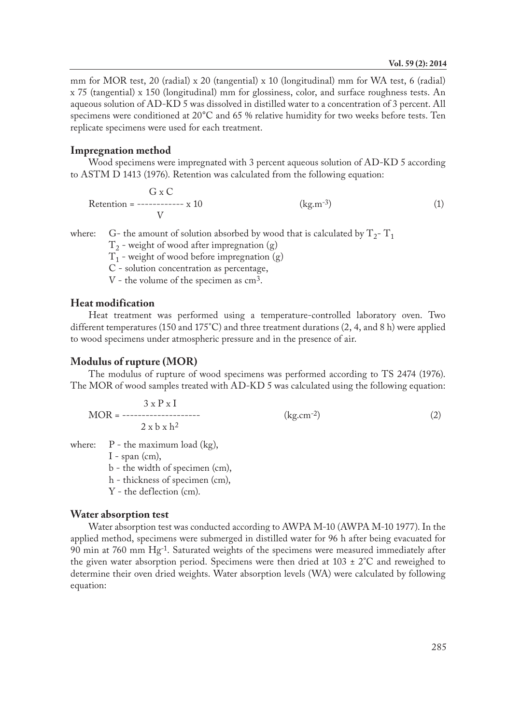mm for MOR test, 20 (radial) x 20 (tangential) x 10 (longitudinal) mm for WA test, 6 (radial) x 75 (tangential) x 150 (longitudinal) mm for glossiness, color, and surface roughness tests. An aqueous solution of AD-KD 5 was dissolved in distilled water to a concentration of 3 percent. All specimens were conditioned at 20°C and 65 % relative humidity for two weeks before tests. Ten replicate specimens were used for each treatment.

## **Impregnation method**

Wood specimens were impregnated with 3 percent aqueous solution of AD-KD 5 according to ASTM D 1413 (1976). Retention was calculated from the following equation:

$$
G \times C
$$
  
Retention =  $\times$  10  $(kg.m^{-3})$  (1)

where: G- the amount of solution absorbed by wood that is calculated by  $T_2$ -  $T_1$  $T<sub>2</sub>$  - weight of wood after impregnation (g)

 $T_1$  - weight of wood before impregnation (g)

C - solution concentration as percentage,

V - the volume of the specimen as cm3.

## **Heat modification**

Heat treatment was performed using a temperature-controlled laboratory oven. Two different temperatures (150 and 175°C) and three treatment durations (2, 4, and 8 h) were applied to wood specimens under atmospheric pressure and in the presence of air.

## **Modulus of rupture (MOR)**

The modulus of rupture of wood specimens was performed according to TS 2474 (1976). The MOR of wood samples treated with AD-KD 5 was calculated using the following equation:

$$
MOR = \frac{3 \times P \times I}{2 \times b \times h^2}
$$
 (kg.cm<sup>-2</sup>) (2)

where:  $P -$  the maximum load (kg),

 $I$  - span (cm),

b - the width of specimen (cm),

h - thickness of specimen (cm),

Y - the deflection (cm).

## **Water absorption test**

Water absorption test was conducted according to AWPA M-10 (AWPA M-10 1977). In the applied method, specimens were submerged in distilled water for 96 h after being evacuated for 90 min at 760 mm Hg-1. Saturated weights of the specimens were measured immediately after the given water absorption period. Specimens were then dried at  $103 \pm 2^{\circ}C$  and reweighed to determine their oven dried weights. Water absorption levels (WA) were calculated by following equation: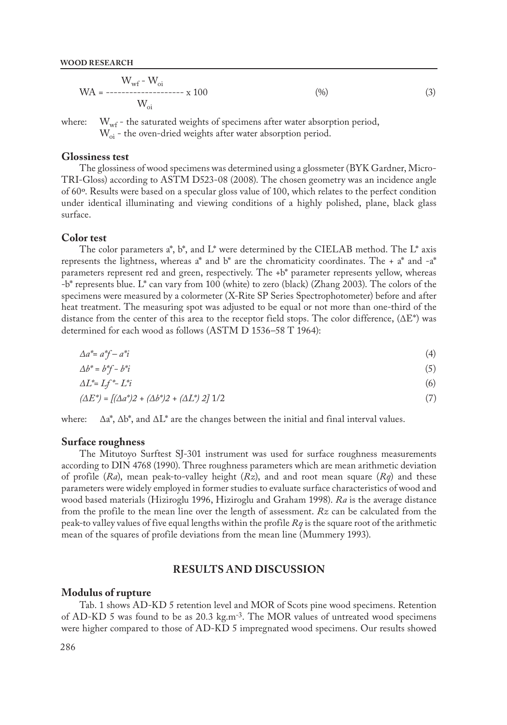$$
WA =
$$
  $W_{wf} - W_{oi}$   
\n $W_A =$   $W_{oi}$  (3)  
\n $W_{oi}$ 

where:  $W_{wf}$  - the saturated weights of specimens after water absorption period, W<sub>oi</sub> - the oven-dried weights after water absorption period.

#### **Glossiness test**

The glossiness of wood specimens was determined using a glossmeter (BYK Gardner, Micro-TRI-Gloss) according to ASTM D523-08 (2008). The chosen geometry was an incidence angle of 60º. Results were based on a specular gloss value of 100, which relates to the perfect condition under identical illuminating and viewing conditions of a highly polished, plane, black glass surface.

## **Color test**

The color parameters  $a^*$ ,  $b^*$ , and  $L^*$  were determined by the CIELAB method. The  $L^*$  axis represents the lightness, whereas a\* and  $b^*$  are the chromaticity coordinates. The + a\* and -a\* parameters represent red and green, respectively. The +b\* parameter represents yellow, whereas -b\* represents blue. L\* can vary from 100 (white) to zero (black) (Zhang 2003). The colors of the specimens were measured by a colormeter (X-Rite SP Series Spectrophotometer) before and after heat treatment. The measuring spot was adjusted to be equal or not more than one-third of the distance from the center of this area to the receptor field stops. The color difference,  $(\Delta E^*)$  was determined for each wood as follows (ASTM D 1536–58 T 1964):

$$
\Delta a^* = a^*f - a^*i \tag{4}
$$

$$
\Delta b^* = b^*f - b^*i \tag{5}
$$

$$
\Delta L^* = Lf^* - L^*i
$$
\n
$$
(\Delta E^*) = \left[ (\Delta a^*)^2 + (\Delta b^*)^2 + (\Delta L^*)^2 \right] 1/2
$$
\n(7)

where:  $\Delta a^*$ ,  $\Delta b^*$ , and  $\Delta L^*$  are the changes between the initial and final interval values.

#### **Surface roughness**

The Mitutoyo Surftest SJ-301 instrument was used for surface roughness measurements according to DIN 4768 (1990). Three roughness parameters which are mean arithmetic deviation of profile (*Ra*), mean peak-to-valley height (*Rz*), and and root mean square (*Rq*) and these parameters were widely employed in former studies to evaluate surface characteristics of wood and wood based materials (Hiziroglu 1996, Hiziroglu and Graham 1998). *Ra* is the average distance from the profile to the mean line over the length of assessment. *Rz* can be calculated from the peak-to valley values of five equal lengths within the profile *Rq* is the square root of the arithmetic mean of the squares of profile deviations from the mean line (Mummery 1993).

## **RESULTS AND DISCUSSION**

#### **Modulus of rupture**

Tab. 1 shows AD-KD 5 retention level and MOR of Scots pine wood specimens. Retention of AD-KD 5 was found to be as 20.3 kg.m-3. The MOR values of untreated wood specimens were higher compared to those of AD-KD 5 impregnated wood specimens. Our results showed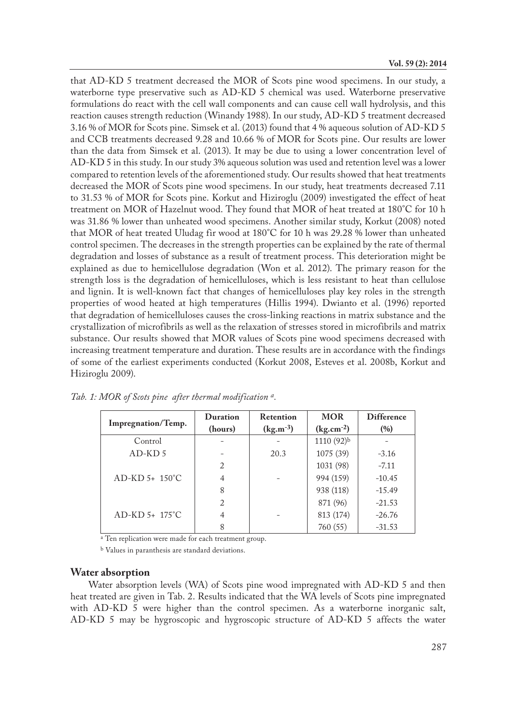that AD-KD 5 treatment decreased the MOR of Scots pine wood specimens. In our study, a waterborne type preservative such as AD-KD 5 chemical was used. Waterborne preservative formulations do react with the cell wall components and can cause cell wall hydrolysis, and this reaction causes strength reduction (Winandy 1988). In our study, AD-KD 5 treatment decreased 3.16 % of MOR for Scots pine. Simsek et al. (2013) found that 4 % aqueous solution of AD-KD 5 and CCB treatments decreased 9.28 and 10.66 % of MOR for Scots pine. Our results are lower than the data from Simsek et al. (2013). It may be due to using a lower concentration level of AD-KD 5 in this study. In our study 3% aqueous solution was used and retention level was a lower compared to retention levels of the aforementioned study. Our results showed that heat treatments decreased the MOR of Scots pine wood specimens. In our study, heat treatments decreased 7.11 to 31.53 % of MOR for Scots pine. Korkut and Hiziroglu (2009) investigated the effect of heat treatment on MOR of Hazelnut wood. They found that MOR of heat treated at 180°C for 10 h was 31.86 % lower than unheated wood specimens. Another similar study, Korkut (2008) noted that MOR of heat treated Uludag fir wood at 180°C for 10 h was 29.28 % lower than unheated control specimen. The decreases in the strength properties can be explained by the rate of thermal degradation and losses of substance as a result of treatment process. This deterioration might be explained as due to hemicellulose degradation (Won et al. 2012). The primary reason for the strength loss is the degradation of hemicelluloses, which is less resistant to heat than cellulose and lignin. It is well-known fact that changes of hemicelluloses play key roles in the strength properties of wood heated at high temperatures (Hillis 1994). Dwianto et al. (1996) reported that degradation of hemicelluloses causes the cross-linking reactions in matrix substance and the crystallization of microfibrils as well as the relaxation of stresses stored in microfibrils and matrix substance. Our results showed that MOR values of Scots pine wood specimens decreased with increasing treatment temperature and duration. These results are in accordance with the findings of some of the earliest experiments conducted (Korkut 2008, Esteves et al. 2008b, Korkut and Hiziroglu 2009).

|                             | Duration       | Retention     | <b>MOR</b>             | <b>Difference</b> |  |
|-----------------------------|----------------|---------------|------------------------|-------------------|--|
| Impregnation/Temp.          | (hours)        | $(kg.m^{-3})$ | $(kg.cm^{-2})$         | (%)               |  |
| Control                     |                |               | 1110 (92) <sup>b</sup> |                   |  |
| $AD-KD5$                    |                | 20.3          | 1075 (39)              | $-3.16$           |  |
|                             | $\overline{2}$ |               | 1031 (98)              | $-7.11$           |  |
| $AD-KD$ 5+ 150 $^{\circ}$ C | 4              |               | 994 (159)              | $-10.45$          |  |
|                             | 8              |               | 938 (118)              | $-15.49$          |  |
|                             | $\overline{2}$ |               | 871 (96)               | $-21.53$          |  |
| $AD-KD$ 5+ 175 $°C$         | 4              |               | 813 (174)              | $-26.76$          |  |
|                             |                |               | 760(55)                | $-31.53$          |  |

*Tab. 1: MOR of Scots pine after thermal modification a.*

<sup>a</sup> Ten replication were made for each treatment group.

b Values in paranthesis are standard deviations.

#### **Water absorption**

Water absorption levels (WA) of Scots pine wood impregnated with AD-KD 5 and then heat treated are given in Tab. 2. Results indicated that the WA levels of Scots pine impregnated with AD-KD 5 were higher than the control specimen. As a waterborne inorganic salt, AD-KD 5 may be hygroscopic and hygroscopic structure of AD-KD 5 affects the water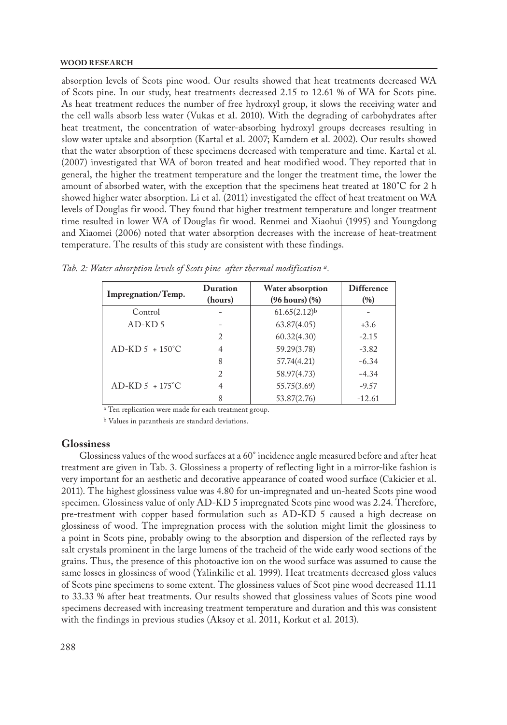absorption levels of Scots pine wood. Our results showed that heat treatments decreased WA of Scots pine. In our study, heat treatments decreased 2.15 to 12.61 % of WA for Scots pine. As heat treatment reduces the number of free hydroxyl group, it slows the receiving water and the cell walls absorb less water (Vukas et al. 2010). With the degrading of carbohydrates after heat treatment, the concentration of water-absorbing hydroxyl groups decreases resulting in slow water uptake and absorption (Kartal et al. 2007; Kamdem et al. 2002). Our results showed that the water absorption of these specimens decreased with temperature and time. Kartal et al. (2007) investigated that WA of boron treated and heat modified wood. They reported that in general, the higher the treatment temperature and the longer the treatment time, the lower the amount of absorbed water, with the exception that the specimens heat treated at 180°C for 2 h showed higher water absorption. Li et al. (2011) investigated the effect of heat treatment on WA levels of Douglas fir wood. They found that higher treatment temperature and longer treatment time resulted in lower WA of Douglas fir wood. Renmei and Xiaohui (1995) and Youngdong and Xiaomei (2006) noted that water absorption decreases with the increase of heat-treatment temperature. The results of this study are consistent with these findings.

| Impregnation/Temp.   | Duration<br>(hours) | Water absorption<br>$(96 \text{ hours})$ $(\% )$ | <b>Difference</b><br>(%) |
|----------------------|---------------------|--------------------------------------------------|--------------------------|
| Control              |                     | $61.65(2.12)^{b}$                                |                          |
| $AD-KD5$             |                     | 63.87(4.05)                                      | $+3.6$                   |
|                      | $\overline{2}$      | 60.32(4.30)                                      | $-2.15$                  |
| $AD-KD$ 5 + 150 $°C$ | 4                   | 59.29(3.78)                                      | $-3.82$                  |
|                      | 8                   | 57.74(4.21)                                      | $-6.34$                  |
|                      | $\overline{2}$      | 58.97(4.73)                                      | $-4.34$                  |
| $AD-KD.5 + 175$ °C   |                     | 55.75(3.69)                                      | $-9.57$                  |
|                      | 8                   | 53.87(2.76)                                      | $-12.61$                 |

*Tab. 2: Water absorption levels of Scots pine after thermal modification a.*

a Ten replication were made for each treatment group.

b Values in paranthesis are standard deviations.

## **Glossiness**

Glossiness values of the wood surfaces at a 60° incidence angle measured before and after heat treatment are given in Tab. 3. Glossiness a property of reflecting light in a mirror-like fashion is very important for an aesthetic and decorative appearance of coated wood surface (Cakicier et al. 2011). The highest glossiness value was 4.80 for un-impregnated and un-heated Scots pine wood specimen. Glossiness value of only AD-KD 5 impregnated Scots pine wood was 2.24. Therefore, pre-treatment with copper based formulation such as AD-KD 5 caused a high decrease on glossiness of wood. The impregnation process with the solution might limit the glossiness to a point in Scots pine, probably owing to the absorption and dispersion of the reflected rays by salt crystals prominent in the large lumens of the tracheid of the wide early wood sections of the grains. Thus, the presence of this photoactive ion on the wood surface was assumed to cause the same losses in glossiness of wood (Yalinkilic et al. 1999). Heat treatments decreased gloss values of Scots pine specimens to some extent. The glossiness values of Scot pine wood decreased 11.11 to 33.33 % after heat treatments. Our results showed that glossiness values of Scots pine wood specimens decreased with increasing treatment temperature and duration and this was consistent with the findings in previous studies (Aksoy et al. 2011, Korkut et al. 2013).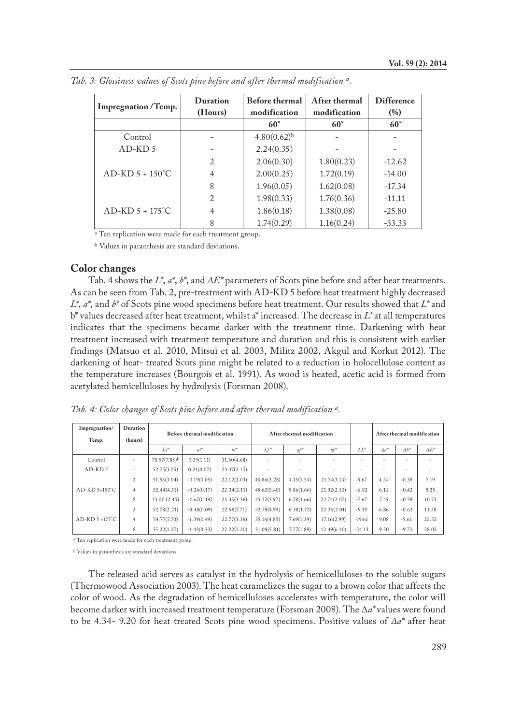| Impregnation /Temp.  | Duration       | <b>Before thermal</b> | After thermal | <b>Difference</b> |  |
|----------------------|----------------|-----------------------|---------------|-------------------|--|
|                      | (Hours)        | modification          | modification  | (%)               |  |
|                      |                | $60^\circ$            | $60^\circ$    | $60^\circ$        |  |
| Control              |                | $4.80(0.62)^{b}$      |               |                   |  |
| $AD-KD5$             |                | 2.24(0.35)            |               |                   |  |
| $AD-KD$ 5 + 150 $°C$ | $\overline{2}$ | 2.06(0.30)            | 1.80(0.23)    | $-12.62$          |  |
|                      | 4              | 2.00(0.25)            | 1.72(0.19)    | $-14.00$          |  |
|                      | 8              | 1.96(0.05)            | 1.62(0.08)    | $-17.34$          |  |
|                      | $\overline{2}$ | 1.98(0.33)            | 1.76(0.36)    | $-11.11$          |  |
| $AD-KD$ 5 + 175 $°C$ | 4              | 1.86(0.18)            | 1.38(0.08)    | $-25.80$          |  |
|                      |                | 1.74(0.29)            | 1.16(0.24)    | $-33.33$          |  |

*Tab. 3: Glossiness values of Scots pine before and after thermal modification a.*

a Ten replication were made for each treatment group.

b Values in paranthesis are standard deviations.

## **Color changes**

Tab. 4 shows the *L\**, *a\**, *b\**, and *∆E\** parameters of Scots pine before and after heat treatments. As can be seen from Tab. 2, pre-treatment with AD-KD 5 before heat treatment highly decreased *L\*, a\**, and *b\** of Scots pine wood specimens before heat treatment. Our results showed that *L\** and b\* values decreased after heat treatment, whilst a\* increased. The decrease in *L\** at all temperatures indicates that the specimens became darker with the treatment time. Darkening with heat treatment increased with treatment temperature and duration and this is consistent with earlier findings (Matsuo et al. 2010, Mitsui et al. 2003, Militz 2002, Akgul and Korkut 2012). The darkening of heat- treated Scots pine might be related to a reduction in holocellulose content as the temperature increases (Bourgois et al. 1991). As wood is heated, acetic acid is formed from acetylated hemicelluloses by hydrolysis (Forsman 2008).

*Tab. 4: Color changes of Scots pine before and after thermal modification a.*

| Impregnation/<br>Temp. | Duration<br>(hours)      |              | <b>Before thermal modification</b> |             | After thermal modification |            | After thermal modification |              |              |              |              |
|------------------------|--------------------------|--------------|------------------------------------|-------------|----------------------------|------------|----------------------------|--------------|--------------|--------------|--------------|
|                        |                          | $Li^*$       | ai*                                | $hi^*$      | $Lf^*$                     | $af^*$     | $bf^*$                     | $\Delta L^*$ | $\Delta a^*$ | $\Delta b^*$ | $\Delta E^*$ |
| Control                | ۰                        | 75.57(7.85)b | 7.09(1.11)                         | 31.50(4.68) |                            |            |                            |              |              | ۰            |              |
| $AD-KD5$               | $\overline{\phantom{a}}$ | 52.75(3.05)  | 0.21(0.07)                         | 23.47(2.15) |                            |            |                            | ۰            |              | ۰            |              |
| AD-KD 5+150°C          | 2                        | 51.53(3.04)  | $-0.19(0.05)$                      | 22.12(3.03) | 45.86(3.28)                | 4.15(1.54) | 21.74(3.13)                | $-5.67$      | 4.34         | $-0.39$      | 7.19         |
|                        | $\overline{4}$           | 52.44(4.51)  | $-0.26(0.17)$                      | 22.34(2.11) | 45.62(5.48)                | 5,86(1,66) | 21.92(2.10)                | $-6.82$      | 6.12         | $-0.42$      | 9.25         |
|                        | 8                        | 53.00(2.45)  | $-0.67(0.19)$                      | 23.33(3.36) | 45.32(5.97)                | 6,78(1,66) | 22.74(2.07)                | $-7.67$      | 7.45         | $-0.59$      | 10.73        |
|                        | 2                        | 52.78(2.21)  | $-0.48(0.09)$                      | 22.98(7.71) | 43.59(4.95)                | 6.38(1.72) | 22.36(2.01)                | $-9.19$      | 6.86         | $-0.62$      | 11.58        |
| $AD-KD 5 + 175$ °C     | $\overline{4}$           | 54,77(7.70)  | $-1.39(0.49)$                      | 22.77(3.36) | 35.16(4.85)                | 7.69(1.39) | 17.16(2.99)                | $-19.61$     | 9.08         | $-5.61$      | 22.52        |
|                        | 8                        | 55.22(1.27)  | $-1.43(0.33)$                      | 22.22(1.20) | 31.09(5.81)                | 7.77(1.89) | 12.49(6.40)                | $-24.13$     | 9.20         | $-9.73$      | 28.03        |

a Ten replication were made for each treatment group.

b Values in paranthesis are standard deviations.

The released acid serves as catalyst in the hydrolysis of hemicelluloses to the soluble sugars (Thermowood Association 2003). The heat caramelizes the sugar to a brown color that affects the color of wood. As the degradation of hemicelluloses accelerates with temperature, the color will become darker with increased treatment temperature (Forsman 2008). The ∆*a\** values were found to be 4.34- 9.20 for heat treated Scots pine wood specimens. Positive values of *Δa\** after heat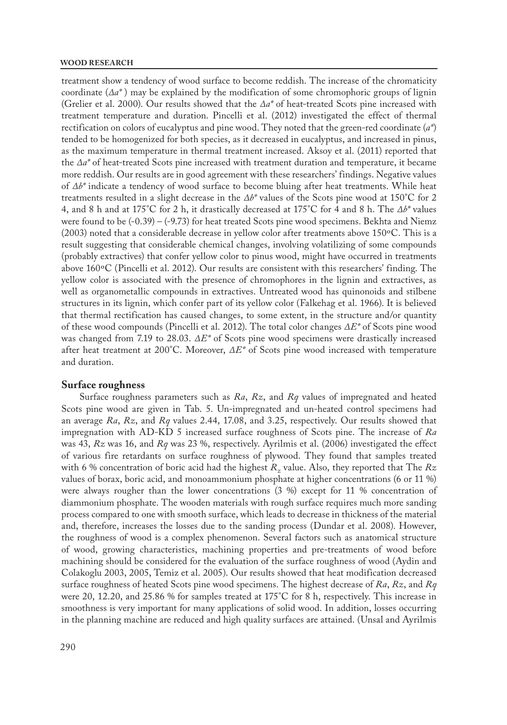treatment show a tendency of wood surface to become reddish. The increase of the chromaticity coordinate  $(\Delta a^*)$  may be explained by the modification of some chromophoric groups of lignin (Grelier et al. 2000). Our results showed that the *Δa\** of heat-treated Scots pine increased with treatment temperature and duration. Pincelli et al. (2012) investigated the effect of thermal rectification on colors of eucalyptus and pine wood. They noted that the green-red coordinate (*a\**) tended to be homogenized for both species, as it decreased in eucalyptus, and increased in pinus, as the maximum temperature in thermal treatment increased. Aksoy et al. (2011) reported that the *Δa\** of heat-treated Scots pine increased with treatment duration and temperature, it became more reddish. Our results are in good agreement with these researchers' findings. Negative values of *∆b\** indicate a tendency of wood surface to become bluing after heat treatments. While heat treatments resulted in a slight decrease in the *∆b\** values of the Scots pine wood at 150°C for 2 4, and 8 h and at 175°C for 2 h, it drastically decreased at 175°C for 4 and 8 h. The *∆b\** values were found to be  $(-0.39) - (-9.73)$  for heat treated Scots pine wood specimens. Bekhta and Niemz (2003) noted that a considerable decrease in yellow color after treatments above 150ºC. This is a result suggesting that considerable chemical changes, involving volatilizing of some compounds (probably extractives) that confer yellow color to pinus wood, might have occurred in treatments above 160ºC (Pincelli et al. 2012). Our results are consistent with this researchers' finding. The yellow color is associated with the presence of chromophores in the lignin and extractives, as well as organometallic compounds in extractives. Untreated wood has quinonoids and stilbene structures in its lignin, which confer part of its yellow color (Falkehag et al. 1966). It is believed that thermal rectification has caused changes, to some extent, in the structure and/or quantity of these wood compounds (Pincelli et al. 2012). The total color changes *ΔE\** of Scots pine wood was changed from 7.19 to 28.03. *ΔE\** of Scots pine wood specimens were drastically increased after heat treatment at 200°C. Moreover, *ΔE\** of Scots pine wood increased with temperature and duration.

## **Surface roughness**

Surface roughness parameters such as *Ra*, *Rz*, and *Rq* values of impregnated and heated Scots pine wood are given in Tab. 5. Un-impregnated and un-heated control specimens had an average *Ra*, *Rz*, and *Rq* values 2.44, 17.08, and 3.25, respectively. Our results showed that impregnation with AD-KD 5 increased surface roughness of Scots pine. The increase of *Ra*  was 43, *Rz* was 16, and *Rq* was 23 %, respectively. Ayrilmis et al. (2006) investigated the effect of various fire retardants on surface roughness of plywood. They found that samples treated with 6 % concentration of boric acid had the highest *Rz* value. Also, they reported that The *Rz*  values of borax, boric acid, and monoammonium phosphate at higher concentrations (6 or 11 %) were always rougher than the lower concentrations (3 %) except for 11 % concentration of diammonium phosphate. The wooden materials with rough surface requires much more sanding process compared to one with smooth surface, which leads to decrease in thickness of the material and, therefore, increases the losses due to the sanding process (Dundar et al. 2008). However, the roughness of wood is a complex phenomenon. Several factors such as anatomical structure of wood, growing characteristics, machining properties and pre-treatments of wood before machining should be considered for the evaluation of the surface roughness of wood (Aydin and Colakoglu 2003, 2005, Temiz et al. 2005). Our results showed that heat modification decreased surface roughness of heated Scots pine wood specimens. The highest decrease of *Ra*, *Rz*, and *Rq*  were 20, 12.20, and 25.86 % for samples treated at 175°C for 8 h, respectively. This increase in smoothness is very important for many applications of solid wood. In addition, losses occurring in the planning machine are reduced and high quality surfaces are attained. (Unsal and Ayrilmis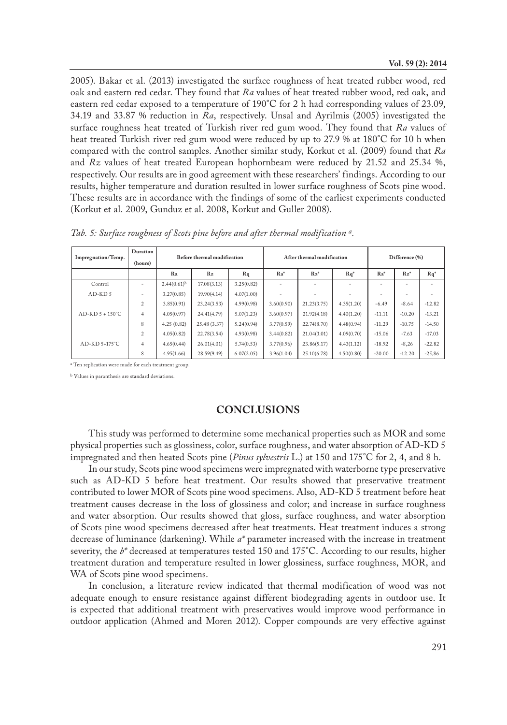2005). Bakar et al. (2013) investigated the surface roughness of heat treated rubber wood, red oak and eastern red cedar. They found that *Ra* values of heat treated rubber wood, red oak, and eastern red cedar exposed to a temperature of 190°C for 2 h had corresponding values of 23.09, 34.19 and 33.87 % reduction in *Ra*, respectively. Unsal and Ayrilmis (2005) investigated the surface roughness heat treated of Turkish river red gum wood. They found that *Ra* values of heat treated Turkish river red gum wood were reduced by up to 27.9 % at 180°C for 10 h when compared with the control samples. Another similar study, Korkut et al. (2009) found that *Ra*  and *Rz* values of heat treated European hophornbeam were reduced by 21.52 and 25.34 %, respectively. Our results are in good agreement with these researchers' findings. According to our results, higher temperature and duration resulted in lower surface roughness of Scots pine wood. These results are in accordance with the findings of some of the earliest experiments conducted (Korkut et al. 2009, Gunduz et al. 2008, Korkut and Guller 2008).

| Impregnation/Temp.   | Duration<br>(hours) | Before thermal modification |              |            | After thermal modification |             |            | Difference (%) |          |          |
|----------------------|---------------------|-----------------------------|--------------|------------|----------------------------|-------------|------------|----------------|----------|----------|
|                      |                     | Ra                          | Rz           | Rq         | $Ra^*$                     | $Rz^*$      | $Rq^*$     | Ra*            | $Rz^*$   | $Rq^*$   |
| Control              | ۰                   | $2.44(0.61)^{b}$            | 17.08(3.13)  | 3.25(0.82) |                            |             |            |                |          |          |
| AD-KD <sub>5</sub>   |                     | 3.27(0.85)                  | 19.90(4.14)  | 4.07(1.00) |                            |             |            |                |          |          |
| $AD-KD$ 5 + 150 $°C$ | 2                   | 3.85(0.91)                  | 23.24(3.53)  | 4.99(0.98) | 3.60(0.90)                 | 21.23(3.75) | 4.35(1.20) | $-6.49$        | $-8.64$  | $-12.82$ |
|                      | 4                   | 4.05(0.97)                  | 24.41(4.79)  | 5.07(1.23) | 3.60(0.97)                 | 21.92(4.18) | 4.40(1.20) | $-11.11$       | $-10.20$ | $-13.21$ |
|                      | 8                   | 4.25(0.82)                  | 25.48 (3.37) | 5.24(0.94) | 3.77(0.59)                 | 22,74(8.70) | 4.48(0.94) | $-11.29$       | $-10.75$ | $-14.50$ |
|                      | 2                   | 4.05(0.82)                  | 22.78(3.54)  | 4.93(0.98) | 3.44(0.82)                 | 21.04(3.01) | 4.09(0.70) | $-15.06$       | $-7.63$  | $-17.03$ |
| AD-KD 5+175°C        | 4                   | 4.65(0.44)                  | 26.01(4.01)  | 5.74(0.53) | 3.77(0.96)                 | 23.86(5.17) | 4.43(1.12) | $-18.92$       | $-8,26$  | $-22.82$ |
|                      | 8                   | 4.95(1.66)                  | 28.59(9.49)  | 6.07(2.05) | 3.96(1.04)                 | 25.10(6.78) | 4.50(0.80) | $-20.00$       | $-12.20$ | $-25,86$ |

*Tab. 5: Surface roughness of Scots pine before and after thermal modification a.* 

<sup>a</sup> Ten replication were made for each treatment group.

b Values in paranthesis are standard deviations.

# **CONCLUSIONS**

This study was performed to determine some mechanical properties such as MOR and some physical properties such as glossiness, color, surface roughness, and water absorption of AD-KD 5 impregnated and then heated Scots pine (*Pinus sylvestris* L.) at 150 and 175°C for 2, 4, and 8 h.

In our study, Scots pine wood specimens were impregnated with waterborne type preservative such as AD-KD 5 before heat treatment. Our results showed that preservative treatment contributed to lower MOR of Scots pine wood specimens. Also, AD-KD 5 treatment before heat treatment causes decrease in the loss of glossiness and color; and increase in surface roughness and water absorption. Our results showed that gloss, surface roughness, and water absorption of Scots pine wood specimens decreased after heat treatments. Heat treatment induces a strong decrease of luminance (darkening). While *a\** parameter increased with the increase in treatment severity, the *b\** decreased at temperatures tested 150 and 175°C. According to our results, higher treatment duration and temperature resulted in lower glossiness, surface roughness, MOR, and WA of Scots pine wood specimens.

In conclusion, a literature review indicated that thermal modification of wood was not adequate enough to ensure resistance against different biodegrading agents in outdoor use. It is expected that additional treatment with preservatives would improve wood performance in outdoor application (Ahmed and Moren 2012). Copper compounds are very effective against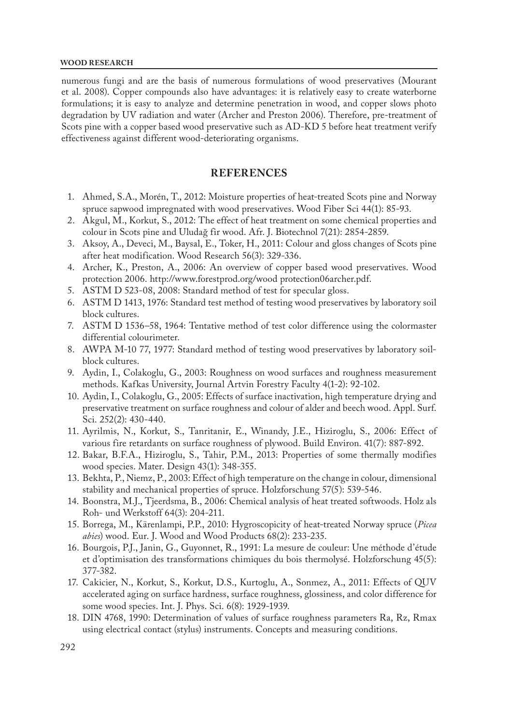numerous fungi and are the basis of numerous formulations of wood preservatives (Mourant et al. 2008). Copper compounds also have advantages: it is relatively easy to create waterborne formulations; it is easy to analyze and determine penetration in wood, and copper slows photo degradation by UV radiation and water (Archer and Preston 2006). Therefore, pre-treatment of Scots pine with a copper based wood preservative such as AD-KD 5 before heat treatment verify effectiveness against different wood-deteriorating organisms.

# **REFERENCES**

- 1. Ahmed, S.A., Morén, T., 2012: Moisture properties of heat-treated Scots pine and Norway spruce sapwood impregnated with wood preservatives. Wood Fiber Sci 44(1): 85-93.
- 2. Akgul, M., Korkut, S., 2012: The effect of heat treatment on some chemical properties and colour in Scots pine and Uludağ fir wood. Afr. J. Biotechnol 7(21): 2854-2859.
- 3. Aksoy, A., Deveci, M., Baysal, E., Toker, H., 2011: Colour and gloss changes of Scots pine after heat modification. Wood Research 56(3): 329-336.
- 4. Archer, K., Preston, A., 2006: An overview of copper based wood preservatives. Wood protection 2006. http://www.forestprod.org/wood protection06archer.pdf.
- 5. ASTM D 523-08, 2008: Standard method of test for specular gloss.
- 6. ASTM D 1413, 1976: Standard test method of testing wood preservatives by laboratory soil block cultures.
- 7. ASTM D 1536–58, 1964: Tentative method of test color difference using the colormaster differential colourimeter.
- 8. AWPA M-10 77, 1977: Standard method of testing wood preservatives by laboratory soilblock cultures.
- 9. Aydin, I., Colakoglu, G., 2003: Roughness on wood surfaces and roughness measurement methods. Kafkas University, Journal Artvin Forestry Faculty 4(1-2): 92-102.
- 10. Aydin, I., Colakoglu, G., 2005: Effects of surface inactivation, high temperature drying and preservative treatment on surface roughness and colour of alder and beech wood. Appl. Surf. Sci. 252(2): 430-440.
- 11. Ayrilmis, N., Korkut, S., Tanritanir, E., Winandy, J.E., Hiziroglu, S., 2006: Effect of various fire retardants on surface roughness of plywood. Build Environ. 41(7): 887-892.
- 12. Bakar, B.F.A., Hiziroglu, S., Tahir, P.M., 2013: Properties of some thermally modifies wood species. Mater. Design 43(1): 348-355.
- 13. Bekhta, P., Niemz, P., 2003: Effect of high temperature on the change in colour, dimensional stability and mechanical properties of spruce. Holzforschung 57(5): 539-546.
- 14. Boonstra, M.J., Tjeerdsma, B., 2006: Chemical analysis of heat treated softwoods. Holz als Roh- und Werkstoff 64(3): 204-211.
- 15. Borrega, M., Kärenlampi, P.P., 2010: Hygroscopicity of heat-treated Norway spruce (*Picea abies*) wood. Eur. J. Wood and Wood Products 68(2): 233-235.
- 16. Bourgois, P.J., Janin, G., Guyonnet, R., 1991: La mesure de couleur: Une méthode d'étude et d'optimisation des transformations chimiques du bois thermolysé. Holzforschung 45(5): 377-382.
- 17. Cakicier, N., Korkut, S., Korkut, D.S., Kurtoglu, A., Sonmez, A., 2011: Effects of QUV accelerated aging on surface hardness, surface roughness, glossiness, and color difference for some wood species. Int. J. Phys. Sci. 6(8): 1929-1939.
- 18. DIN 4768, 1990: Determination of values of surface roughness parameters Ra, Rz, Rmax using electrical contact (stylus) instruments. Concepts and measuring conditions.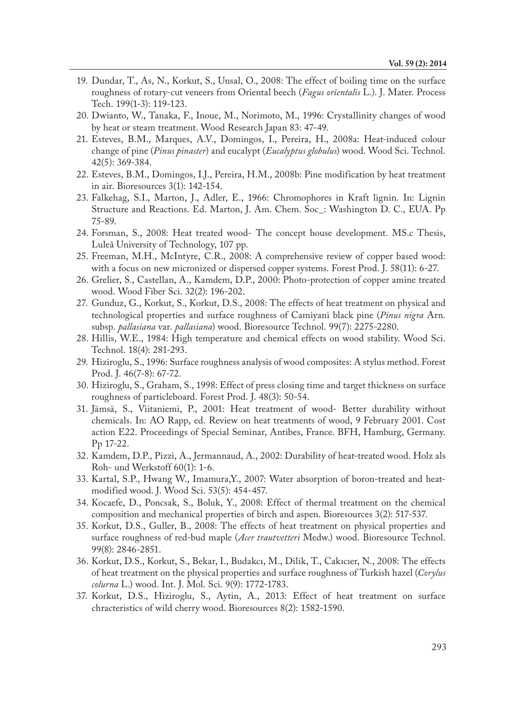- 19. Dundar, T., As, N., Korkut, S., Unsal, O., 2008: The effect of boiling time on the surface roughness of rotary-cut veneers from Oriental beech (*Fagus orientalis* L.). J. Mater. Process Tech. 199(1-3): 119-123.
- 20. Dwianto, W., Tanaka, F., Inoue, M., Norimoto, M., 1996: Crystallinity changes of wood by heat or steam treatment. Wood Research Japan 83: 47-49.
- 21. Esteves, B.M., Marques, A.V., Domingos, I., Pereira, H., 2008a: Heat-induced colour change of pine (*Pinus pinaster*) and eucalypt (*Eucalyptus globulus*) wood. Wood Sci. Technol. 42(5): 369-384.
- 22. Esteves, B.M., Domingos, I.J., Pereira, H.M., 2008b: Pine modification by heat treatment in air. Bioresources 3(1): 142-154.
- 23. Falkehag, S.I., Marton, J., Adler, E., 1966: Chromophores in Kraft lignin. In: Lignin Structure and Reactions. Ed. Marton, J. Am. Chem. Soc\_: Washington D. C., EUA. Pp 75-89.
- 24. Forsman, S., 2008: Heat treated wood- The concept house development. MS.c Thesis, Luleå University of Technology, 107 pp.
- 25. Freeman, M.H., McIntyre, C.R., 2008: A comprehensive review of copper based wood: with a focus on new micronized or dispersed copper systems. Forest Prod. J. 58(11): 6-27.
- 26. Grelier, S., Castellan, A., Kamdem, D.P., 2000: Photo-protection of copper amine treated wood. Wood Fiber Sci. 32(2): 196-202.
- 27. Gunduz, G., Korkut, S., Korkut, D.S., 2008: The effects of heat treatment on physical and technological properties and surface roughness of Camiyani black pine (*Pinus nigra* Arn. subsp. *pallasiana* var. *pallasiana*) wood. Bioresource Technol. 99(7): 2275-2280.
- 28. Hillis, W.E., 1984: High temperature and chemical effects on wood stability. Wood Sci. Technol. 18(4): 281-293.
- 29. Hiziroglu, S., 1996: Surface roughness analysis of wood composites: A stylus method. Forest Prod. J. 46(7-8): 67-72.
- 30. Hiziroglu, S., Graham, S., 1998: Effect of press closing time and target thickness on surface roughness of particleboard. Forest Prod. J. 48(3): 50-54.
- 31. Jämsä, S., Viitaniemi, P., 2001: Heat treatment of wood- Better durability without chemicals. In: AO Rapp, ed. Review on heat treatments of wood, 9 February 2001. Cost action E22. Proceedings of Special Seminar, Antibes, France. BFH, Hamburg, Germany. Pp 17-22.
- 32. Kamdem, D.P., Pizzi, A., Jermannaud, A., 2002: Durability of heat-treated wood. Holz als Roh- und Werkstoff 60(1): 1-6.
- 33. Kartal, S.P., Hwang W., Imamura,Y., 2007: Water absorption of boron-treated and heatmodified wood. J. Wood Sci. 53(5): 454-457.
- 34. Kocaefe, D., Poncsak, S., Boluk, Y., 2008: Effect of thermal treatment on the chemical composition and mechanical properties of birch and aspen. Bioresources 3(2): 517-537.
- 35. Korkut, D.S., Guller, B., 2008: The effects of heat treatment on physical properties and surface roughness of red-bud maple (*Acer trautvetteri* Medw.) wood. Bioresource Technol. 99(8): 2846-2851.
- 36. Korkut, D.S., Korkut, S., Bekar, I., Budakcı, M., Dilik, T., Cakıcıer, N., 2008: The effects of heat treatment on the physical properties and surface roughness of Turkish hazel (*Corylus colurna* L.) wood. Int. J. Mol. Sci. 9(9): 1772-1783.
- 37. Korkut, D.S., Hiziroglu, S., Aytin, A., 2013: Effect of heat treatment on surface chracteristics of wild cherry wood. Bioresources 8(2): 1582-1590.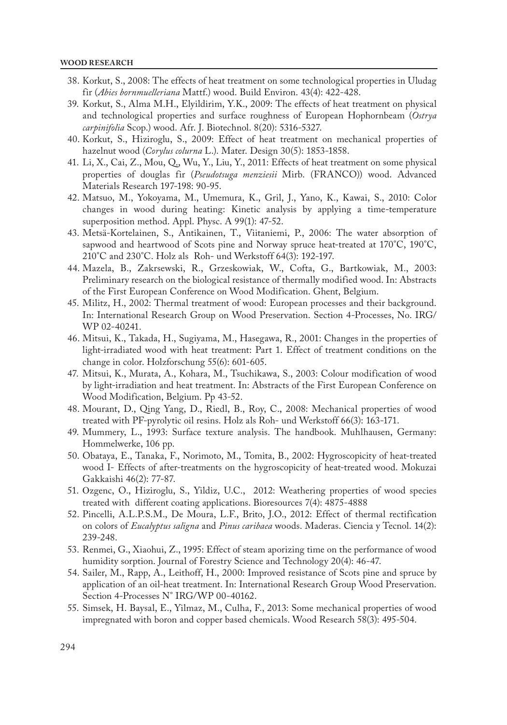- 38. Korkut, S., 2008: The effects of heat treatment on some technological properties in Uludag fir (*Abies bornmuelleriana* Mattf.) wood. Build Environ. 43(4): 422-428.
- 39. Korkut, S., Alma M.H., Elyildirim, Y.K., 2009: The effects of heat treatment on physical and technological properties and surface roughness of European Hophornbeam (*Ostrya carpinifolia* Scop.) wood. Afr. J. Biotechnol. 8(20): 5316-5327.
- 40. Korkut, S., Hiziroglu, S., 2009: Effect of heat treatment on mechanical properties of hazelnut wood (*Corylus colurna* L.). Mater. Design 30(5): 1853-1858.
- 41. Li, X., Cai, Z., Mou, Q., Wu, Y., Liu, Y., 2011: Effects of heat treatment on some physical properties of douglas fir (*Pseudotsuga menziesii* Mirb. (FRANCO)) wood. Advanced Materials Research 197-198: 90-95.
- 42. Matsuo, M., Yokoyama, M., Umemura, K., Gril, J., Yano, K., Kawai, S., 2010: Color changes in wood during heating: Kinetic analysis by applying a time-temperature superposition method. Appl. Physc. A 99(1): 47-52.
- 43. Metsä-Kortelainen, S., Antikainen, T., Viitaniemi, P., 2006: The water absorption of sapwood and heartwood of Scots pine and Norway spruce heat-treated at 170°C, 190°C, 210°C and 230°C. Holz als Roh- und Werkstoff 64(3): 192-197.
- 44. Mazela, B., Zakrsewski, R., Grzeskowiak, W., Cofta, G., Bartkowiak, M., 2003: Preliminary research on the biological resistance of thermally modified wood. In: Abstracts of the First European Conference on Wood Modification. Ghent, Belgium.
- 45. Militz, H., 2002: Thermal treatment of wood: European processes and their background. In: International Research Group on Wood Preservation. Section 4-Processes, No. IRG/ WP 02-40241.
- 46. Mitsui, K., Takada, H., Sugiyama, M., Hasegawa, R., 2001: Changes in the properties of light-irradiated wood with heat treatment: Part 1. Effect of treatment conditions on the change in color. Holzforschung 55(6): 601-605.
- 47. Mitsui, K., Murata, A., Kohara, M., Tsuchikawa, S., 2003: Colour modification of wood by light-irradiation and heat treatment. In: Abstracts of the First European Conference on Wood Modification, Belgium. Pp 43-52.
- 48. Mourant, D., Qing Yang, D., Riedl, B., Roy, C., 2008: Mechanical properties of wood treated with PF-pyrolytic oil resins. Holz als Roh- und Werkstoff 66(3): 163-171.
- 49. Mummery, L., 1993: Surface texture analysis. The handbook. Muhlhausen, Germany: Hommelwerke, 106 pp.
- 50. Obataya, E., Tanaka, F., Norimoto, M., Tomita, B., 2002: Hygroscopicity of heat-treated wood I- Effects of after-treatments on the hygroscopicity of heat-treated wood. Mokuzai Gakkaishi 46(2): 77-87.
- 51. Ozgenc, O., Hiziroglu, S., Yildiz, U.C., 2012: Weathering properties of wood species treated with different coating applications. Bioresources 7(4): 4875-4888
- 52. Pincelli, A.L.P.S.M., De Moura, L.F., Brito, J.O., 2012: Effect of thermal rectification on colors of *Eucalyptus saligna* and *Pinus caribaea* woods. Maderas. Ciencia y Tecnol. 14(2): 239-248.
- 53. Renmei, G., Xiaohui, Z., 1995: Effect of steam aporizing time on the performance of wood humidity sorption. Journal of Forestry Science and Technology 20(4): 46-47.
- 54. Sailer, M., Rapp, A., Leithoff, H., 2000: Improved resistance of Scots pine and spruce by application of an oil-heat treatment. In: International Research Group Wood Preservation. Section 4-Processes N° IRG/WP 00-40162.
- 55. Simsek, H. Baysal, E., Yilmaz, M., Culha, F., 2013: Some mechanical properties of wood impregnated with boron and copper based chemicals. Wood Research 58(3): 495-504.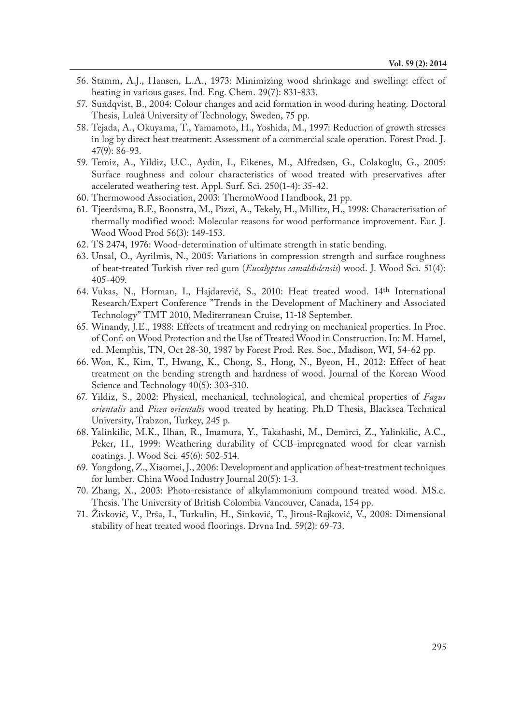- 56. Stamm, A.J., Hansen, L.A., 1973: Minimizing wood shrinkage and swelling: effect of heating in various gases. Ind. Eng. Chem. 29(7): 831-833.
- 57. Sundqvist, B., 2004: Colour changes and acid formation in wood during heating. Doctoral Thesis, Luleå University of Technology, Sweden, 75 pp.
- 58. Tejada, A., Okuyama, T., Yamamoto, H., Yoshida, M., 1997: Reduction of growth stresses in log by direct heat treatment: Assessment of a commercial scale operation. Forest Prod. J. 47(9): 86-93.
- 59. Temiz, A., Yildiz, U.C., Aydin, I., Eikenes, M., Alfredsen, G., Colakoglu, G., 2005: Surface roughness and colour characteristics of wood treated with preservatives after accelerated weathering test. Appl. Surf. Sci. 250(1-4): 35-42.
- 60. Thermowood Association, 2003: ThermoWood Handbook, 21 pp.
- 61. Tjeerdsma, B.F., Boonstra, M., Pizzi, A., Tekely, H., Millitz, H., 1998: Characterisation of thermally modified wood: Molecular reasons for wood performance improvement. Eur. J. Wood Wood Prod 56(3): 149-153.
- 62. TS 2474, 1976: Wood-determination of ultimate strength in static bending.
- 63. Unsal, O., Ayrilmis, N., 2005: Variations in compression strength and surface roughness of heat-treated Turkish river red gum (*Eucalyptus camaldulensis*) wood. J. Wood Sci. 51(4): 405-409.
- 64. Vukas, N., Horman, I., Hajdarević, S., 2010: Heat treated wood. 14th International Research/Expert Conference "Trends in the Development of Machinery and Associated Technology" TMT 2010, Mediterranean Cruise, 11-18 September.
- 65. Winandy, J.E., 1988: Effects of treatment and redrying on mechanical properties. In Proc. of Conf. on Wood Protection and the Use of Treated Wood in Construction. In: M. Hamel, ed. Memphis, TN, Oct 28-30, 1987 by Forest Prod. Res. Soc., Madison, WI, 54-62 pp.
- 66. Won, K., Kim, T., Hwang, K., Chong, S., Hong, N., Byeon, H., 2012: Effect of heat treatment on the bending strength and hardness of wood. Journal of the Korean Wood Science and Technology 40(5): 303-310.
- 67. Yildiz, S., 2002: Physical, mechanical, technological, and chemical properties of *Fagus orientalis* and *Picea orientalis* wood treated by heating. Ph.D Thesis, Blacksea Technical University, Trabzon, Turkey, 245 p.
- 68. Yalinkilic, M.K., Ilhan, R., Imamura, Y., Takahashi, M., Demirci, Z., Yalinkilic, A.C., Peker, H., 1999: Weathering durability of CCB-impregnated wood for clear varnish coatings. J. Wood Sci. 45(6): 502-514.
- 69. Yongdong, Z., Xiaomei, J., 2006: Development and application of heat-treatment techniques for lumber. China Wood Industry Journal 20(5): 1-3.
- 70. Zhang, X., 2003: Photo-resistance of alkylammonium compound treated wood. MS.c. Thesis. The University of British Colombia Vancouver, Canada, 154 pp.
- 71. Živković, V., Prša, I., Turkulin, H., Sinković, T., Jirouš-Rajković, V., 2008: Dimensional stability of heat treated wood floorings. Drvna Ind. 59(2): 69-73.